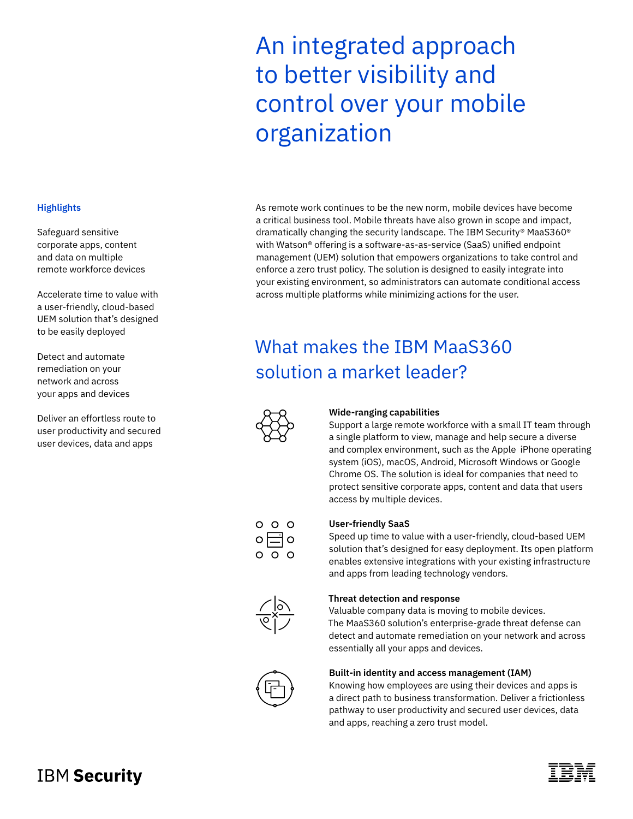# An integrated approach to better visibility and control over your mobile organization

### As remote work continues to be the new norm, mobile devices have become a critical business tool. Mobile threats have also grown in scope and impact, dramatically changing the security landscape. The IBM Security® MaaS360® with Watson® offering is a software-as-as-service (SaaS) unified endpoint management (UEM) solution that empowers organizations to take control and enforce a zero trust policy. The solution is designed to easily integrate into your existing environment, so administrators can automate conditional access across multiple platforms while minimizing actions for the user.

## What makes the IBM MaaS360 solution a market leader?



### **Wide-ranging capabilities**

Support a large remote workforce with a small IT team through a single platform to view, manage and help secure a diverse and complex environment, such as the Apple iPhone operating system (iOS), macOS, Android, Microsoft Windows or Google Chrome OS. The solution is ideal for companies that need to protect sensitive corporate apps, content and data that users access by multiple devices.



#### **User-friendly SaaS**

Speed up time to value with a user-friendly, cloud-based UEM solution that's designed for easy deployment. Its open platform enables extensive integrations with your existing infrastructure and apps from leading technology vendors.

### **Threat detection and response**

Valuable company data is moving to mobile devices. The MaaS360 solution's enterprise-grade threat defense can detect and automate remediation on your network and across essentially all your apps and devices.



#### **Built-in identity and access management (IAM)**

Knowing how employees are using their devices and apps is a direct path to business transformation. Deliver a frictionless pathway to user productivity and secured user devices, data and apps, reaching a zero trust model.

### **Highlights**

Safeguard sensitive corporate apps, content and data on multiple remote workforce devices

Accelerate time to value with a user-friendly, cloud-based UEM solution that's designed to be easily deployed

Detect and automate remediation on your network and across your apps and devices

Deliver an effortless route to user productivity and secured user devices, data and apps

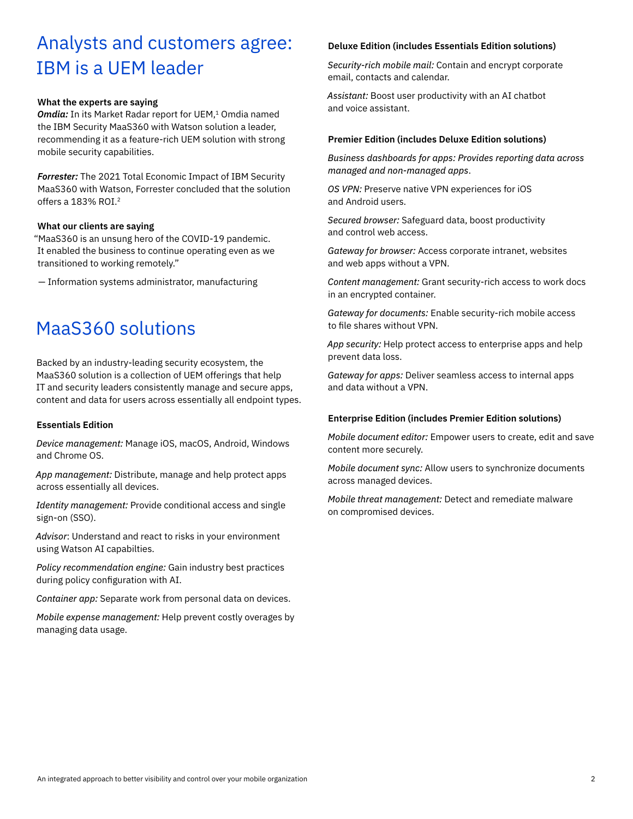### Analysts and customers agree: IBM is a UEM leader

### **What the experts are saying**

**Omdia:** In its Market Radar report for UEM,<sup>1</sup> Omdia named the IBM Security MaaS360 with Watson solution a leader, recommending it as a feature-rich UEM solution with strong mobile security capabilities.

*Forrester:* The 2021 Total Economic Impact of IBM Security MaaS360 with Watson, Forrester concluded that the solution offers a 183% ROI.2

#### **What our clients are saying**

"MaaS360 is an unsung hero of the COVID-19 pandemic. It enabled the business to continue operating even as we transitioned to working remotely."

— Information systems administrator, manufacturing

### MaaS360 solutions

Backed by an industry-leading security ecosystem, the MaaS360 solution is a collection of UEM offerings that help IT and security leaders consistently manage and secure apps, content and data for users across essentially all endpoint types.

### **Essentials Edition**

*Device management:* Manage iOS, macOS, Android, Windows and Chrome OS.

*App management:* Distribute, manage and help protect apps across essentially all devices.

*Identity management:* Provide conditional access and single sign-on (SSO).

*Advisor*: Understand and react to risks in your environment using Watson AI capabilties.

*Policy recommendation engine:* Gain industry best practices during policy configuration with AI.

*Container app:* Separate work from personal data on devices.

*Mobile expense management:* Help prevent costly overages by managing data usage.

### **Deluxe Edition (includes Essentials Edition solutions)**

*Security-rich mobile mail:* Contain and encrypt corporate email, contacts and calendar.

*Assistant:* Boost user productivity with an AI chatbot and voice assistant.

### **Premier Edition (includes Deluxe Edition solutions)**

*Business dashboards for apps: Provides reporting data across managed and non-managed apps*.

*OS VPN:* Preserve native VPN experiences for iOS and Android users.

*Secured browser:* Safeguard data, boost productivity and control web access.

*Gateway for browser:* Access corporate intranet, websites and web apps without a VPN.

*Content management:* Grant security-rich access to work docs in an encrypted container.

*Gateway for documents:* Enable security-rich mobile access to file shares without VPN.

*App security:* Help protect access to enterprise apps and help prevent data loss.

*Gateway for apps:* Deliver seamless access to internal apps and data without a VPN.

### **Enterprise Edition (includes Premier Edition solutions)**

*Mobile document editor:* Empower users to create, edit and save content more securely.

*Mobile document sync:* Allow users to synchronize documents across managed devices.

*Mobile threat management:* Detect and remediate malware on compromised devices.